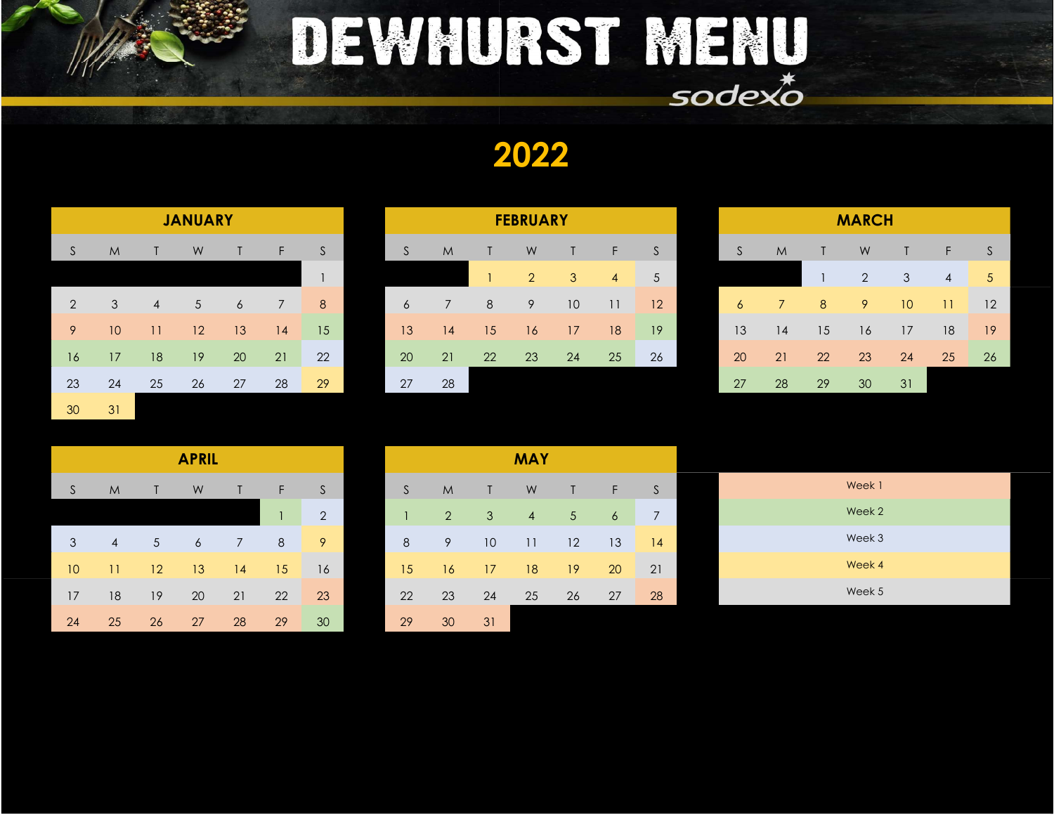

### DEWHURST MENU  $s$ ode $\times\sigma$

2022

|    |    |    | <b>JANUARY</b>  |    |    |    | <b>FEBRUARY</b> |    |    |             |                 |                 |              | <b>MARCH</b> |    |                |    |                |    |                 |            |
|----|----|----|-----------------|----|----|----|-----------------|----|----|-------------|-----------------|-----------------|--------------|--------------|----|----------------|----|----------------|----|-----------------|------------|
| S  | M  |    | W               |    | F. | S  | S               | M  |    | W           |                 | F               | <sub>S</sub> |              | S  | M              |    | W              |    | F               | S.         |
|    |    |    |                 |    |    |    |                 |    |    | $2^{\circ}$ | 3               | 4               | $\sqrt{5}$   |              |    |                |    | $\overline{2}$ | 3  | 4               | $\sqrt{5}$ |
| 2  | 3  | 4  | $5\overline{)}$ | 6  | 7  | 8  | $\sigma$        |    | 8  | 9           | 10 <sup>°</sup> | $\overline{11}$ | 12           |              | 6  | $\overline{7}$ | 8  | 9              | 10 | $\overline{11}$ | 12         |
| 9  | 10 | 11 | 12              | 13 | 14 | 15 | 13              | 4  | 15 | 16          | 17              | 18              | 19           |              | 13 | 14             | 15 | 16             | 17 | 18              | 19         |
| 16 | 17 | 18 | 19              | 20 | 21 | 22 | 20              | 21 | 22 | 23          | 24              | 25              | 26           |              | 20 | 21             | 22 | 23             | 24 | 25              | 26         |
| 23 | 24 | 25 | 26              | 27 | 28 | 29 | 27              | 28 |    |             |                 |                 |              |              | 27 | 28             | 29 | 30             | 31 |                 |            |
| 30 | 31 |    |                 |    |    |    |                 |    |    |             |                 |                 |              |              |    |                |    |                |    |                 |            |

|                |                 |    | <b>JANUARY</b> |    |                |    | <b>FEBRUARY</b> |                |    |             |                 |                |    | <b>MARCH</b> |    |    |                |                 |                 |                |
|----------------|-----------------|----|----------------|----|----------------|----|-----------------|----------------|----|-------------|-----------------|----------------|----|--------------|----|----|----------------|-----------------|-----------------|----------------|
| S              | M               |    | W              |    | F.             | S  | S               | M              |    | W           |                 | F.             | S  | <sub>S</sub> | M  |    | W              |                 | F.              | S.             |
|                |                 |    |                |    |                |    |                 |                |    | $2^{\circ}$ | 3               | $\overline{4}$ | 5  |              |    |    | $\overline{2}$ | 3               | 4               | 5 <sup>5</sup> |
| $\overline{2}$ | 3               | 4  | $\sqrt{5}$     | 6  | $\overline{7}$ | 8  | 6               | $\overline{7}$ | 8  | 9           | 10 <sup>°</sup> | 11             | 12 | 6            |    | 8  | 9              | 10 <sup>°</sup> | $\overline{11}$ | 12             |
| 9              | 10 <sup>°</sup> | 11 | 12             | 13 | 14             | 15 | 13              | 14             | 15 | 16          | 17              | 18             | 19 | 13           | 14 | 15 | 16             | 17              | 18              | 19             |
| 16             | 17              | 18 | 19             | 20 | 21             | 22 | <b>20</b>       | 21             | 22 | 23          | 24              | 25             | 26 | 20           | 21 | 22 | 23             | 24              | 25              | 26             |
| 23             | 24              | 25 | 26             | 27 | 28             | 29 | 27              | 28             |    |             |                 |                |    | 27           | 28 | 29 | 30             | 31              |                 |                |

| <b>MARCH</b> |    |    |                |    |                |    |  |  |  |  |
|--------------|----|----|----------------|----|----------------|----|--|--|--|--|
| S            | M  | T  | W              | Τ  | F              | S  |  |  |  |  |
|              |    | 1  | $\overline{2}$ | 3  | $\overline{4}$ | 5  |  |  |  |  |
| 6            | 7  | 8  | 9              | 10 | 11             | 12 |  |  |  |  |
| 13           | 14 | 15 | 16             | 17 | 18             | 19 |  |  |  |  |
| 20           | 21 | 22 | 23             | 24 | 25             | 26 |  |  |  |  |
| 27           | 28 | 29 | 30             | 31 |                |    |  |  |  |  |

|    | <b>APRIL</b>   |            |    |    |    |              |  |  |  |  |
|----|----------------|------------|----|----|----|--------------|--|--|--|--|
| S  | M              | Т          | W  | Τ  | F  | S            |  |  |  |  |
|    |                |            |    |    | 1  | 2            |  |  |  |  |
| 3  | $\overline{4}$ | $\sqrt{5}$ | 6  | 7  | 8  | 9            |  |  |  |  |
| 10 | 11             | 12         | 13 | 14 | 15 | 16           |  |  |  |  |
| 17 | 18             | 19         | 20 | 21 | 22 | 23           |  |  |  |  |
| 24 | 25             | 26         | 27 | 28 | 29 | $30^{\circ}$ |  |  |  |  |

|                 |                |                | <b>APRIL</b> |    |          |    |              |    |              | <b>MAY</b>     |                 |                |                |
|-----------------|----------------|----------------|--------------|----|----------|----|--------------|----|--------------|----------------|-----------------|----------------|----------------|
| <sub>S</sub>    | M              | T.             | W            | Τ  | F        | S  | <sub>S</sub> | M  | $\mathsf{T}$ | W              | T               | F              | S              |
|                 |                |                |              |    | 1        | 2  | $\mathbf{1}$ | 2  | 3            | $\overline{4}$ | $\sqrt{5}$      | $\overline{6}$ | $\overline{7}$ |
| $\mathcal{S}$   | $\overline{4}$ | 5 <sup>5</sup> | 6            | 7  | $\delta$ | 9  | 8            | 9  | 10           | 11             | 12              | 13             | 14             |
| 10 <sup>°</sup> | 11             | 12             | 13           | 14 | 15       | 16 | 15           | 16 | 17           | 18             | 19 <sup>°</sup> | 20             | 21             |
| 17              | 18             | 19             | 20           | 21 | 22       | 23 | 22           | 23 | 24           | 25             | 26              | 27             | 28             |
| 24              | 25             | 26             | 27           | 28 | 29       | 30 | 29           | 30 | 31           |                |                 |                |                |

| Week 1 |
|--------|
| Week 2 |
| Week 3 |
| Week 4 |
| Week 5 |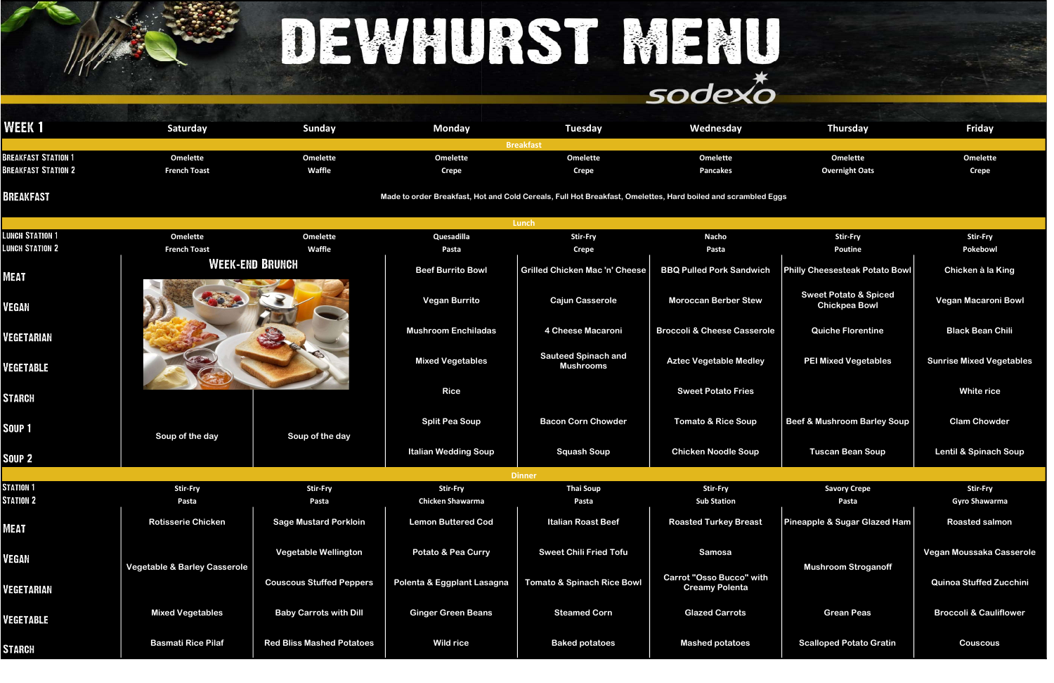## DEWHURST MENU

### sodexo

Vegan Moussaka Casserole

| <b>WEEK1</b>               | Saturday            | <b>Sunday</b> | <b>Monday</b> | <b>Tuesday</b>   | <b>Wednesday</b> | <b>Thursday</b>       | Friday          |
|----------------------------|---------------------|---------------|---------------|------------------|------------------|-----------------------|-----------------|
|                            |                     |               |               | <b>Breakfast</b> |                  |                       |                 |
| <b>BREAKFAST STATION 1</b> | <b>Omelette</b>     | Omelette      | Omelette      | <b>Omelette</b>  | <b>Omelette</b>  | <b>Omelette</b>       | <b>Omelette</b> |
| <b>BREAKFAST STATION 2</b> | <b>French Toast</b> | <b>Waffle</b> | <b>Crepe</b>  | Crepe            | <b>Pancakes</b>  | <b>Overnight Oats</b> | <b>Crepe</b>    |
|                            |                     |               |               |                  |                  |                       |                 |

**BREAKFAST** 

|                        |                                         |                                  |                               | Lunch                                          |                                                          |                                                          |                                   |
|------------------------|-----------------------------------------|----------------------------------|-------------------------------|------------------------------------------------|----------------------------------------------------------|----------------------------------------------------------|-----------------------------------|
| <b>LUNCH STATION 1</b> | <b>Omelette</b>                         | <b>Omelette</b>                  | Quesadilla                    | <b>Stir-Fry</b>                                | <b>Nacho</b>                                             | <b>Stir-Fry</b>                                          | <b>Stir-Fry</b>                   |
| <b>LUNCH STATION 2</b> | <b>French Toast</b>                     | Waffle                           | Pasta                         | <b>Crepe</b>                                   | Pasta                                                    | <b>Poutine</b>                                           | Pokebowl                          |
| MEAT                   |                                         | <b>WEEK-END BRUNCH</b>           | <b>Beef Burrito Bowl</b>      | <b>Grilled Chicken Mac 'n' Cheese</b>          | <b>BBQ Pulled Pork Sandwich</b>                          | <b>Philly Cheesesteak Potato Bowl</b>                    | Chicken à la King                 |
| <b>/EGAN</b>           |                                         |                                  | <b>Vegan Burrito</b>          | <b>Cajun Casserole</b>                         | <b>Moroccan Berber Stew</b>                              | <b>Sweet Potato &amp; Spiced</b><br><b>Chickpea Bowl</b> | <b>Vegan Macaroni Bowl</b>        |
| VEGETARIAN             |                                         |                                  | <b>Mushroom Enchiladas</b>    | 4 Cheese Macaroni                              | <b>Broccoli &amp; Cheese Casserole</b>                   | <b>Quiche Florentine</b>                                 | <b>Black Bean Chili</b>           |
| <b>/EGETABLE</b>       |                                         |                                  | <b>Mixed Vegetables</b>       | <b>Sauteed Spinach and</b><br><b>Mushrooms</b> | <b>Aztec Vegetable Medley</b>                            | <b>PEI Mixed Vegetables</b>                              | <b>Sunrise Mixed Vegetable</b>    |
| <b>STARCH</b>          |                                         |                                  | <b>Rice</b>                   |                                                | <b>Sweet Potato Fries</b>                                |                                                          | <b>White rice</b>                 |
| SOUP <sub>1</sub>      | Soup of the day                         | Soup of the day                  | <b>Split Pea Soup</b>         | <b>Bacon Corn Chowder</b>                      | <b>Tomato &amp; Rice Soup</b>                            | <b>Beef &amp; Mushroom Barley Soup</b>                   | <b>Clam Chowder</b>               |
| SOUP <sub>2</sub>      |                                         |                                  | <b>Italian Wedding Soup</b>   | <b>Squash Soup</b>                             | <b>Chicken Noodle Soup</b>                               | <b>Tuscan Bean Soup</b>                                  | <b>Lentil &amp; Spinach Soup</b>  |
|                        |                                         |                                  |                               | <b>Dinner</b>                                  |                                                          |                                                          |                                   |
| <b>STATION 1</b>       | <b>Stir-Fry</b>                         | <b>Stir-Fry</b>                  | <b>Stir-Fry</b>               | <b>Thai Soup</b>                               | <b>Stir-Fry</b>                                          | <b>Savory Crepe</b>                                      | <b>Stir-Fry</b>                   |
| <b>STATION 2</b>       | Pasta                                   | Pasta                            | <b>Chicken Shawarma</b>       | Pasta                                          | <b>Sub Station</b>                                       | Pasta                                                    | <b>Gyro Shawarma</b>              |
| MEAT                   | <b>Rotisserie Chicken</b>               | <b>Sage Mustard Porkloin</b>     | <b>Lemon Buttered Cod</b>     | <b>Italian Roast Beef</b>                      | <b>Roasted Turkey Breast</b>                             | Pineapple & Sugar Glazed Ham                             | <b>Roasted salmon</b>             |
| VEGAN                  | <b>Vegetable &amp; Barley Casserole</b> | <b>Vegetable Wellington</b>      | <b>Potato &amp; Pea Curry</b> | <b>Sweet Chili Fried Tofu</b>                  | <b>Samosa</b>                                            | <b>Mushroom Stroganoff</b>                               | Vegan Moussaka Cassero            |
| VEGETARIAN             |                                         | <b>Couscous Stuffed Peppers</b>  | Polenta & Eggplant Lasagna    | <b>Tomato &amp; Spinach Rice Bowl</b>          | <b>Carrot "Osso Bucco" with</b><br><b>Creamy Polenta</b> |                                                          | <b>Quinoa Stuffed Zucchin</b>     |
| <b>/EGETABLE</b>       | <b>Mixed Vegetables</b>                 | <b>Baby Carrots with Dill</b>    | <b>Ginger Green Beans</b>     | <b>Steamed Corn</b>                            | <b>Glazed Carrots</b>                                    | <b>Grean Peas</b>                                        | <b>Broccoli &amp; Cauliflower</b> |
| <b>STARCH</b>          | <b>Basmati Rice Pilaf</b>               | <b>Red Bliss Mashed Potatoes</b> | <b>Wild rice</b>              | <b>Baked potatoes</b>                          | <b>Mashed potatoes</b>                                   | <b>Scalloped Potato Gratin</b>                           | <b>Couscous</b>                   |

Made to order Breakfast, Hot and Cold Cereals, Full Hot Breakfast, Omelettes, Hard boiled and scrambled Eggs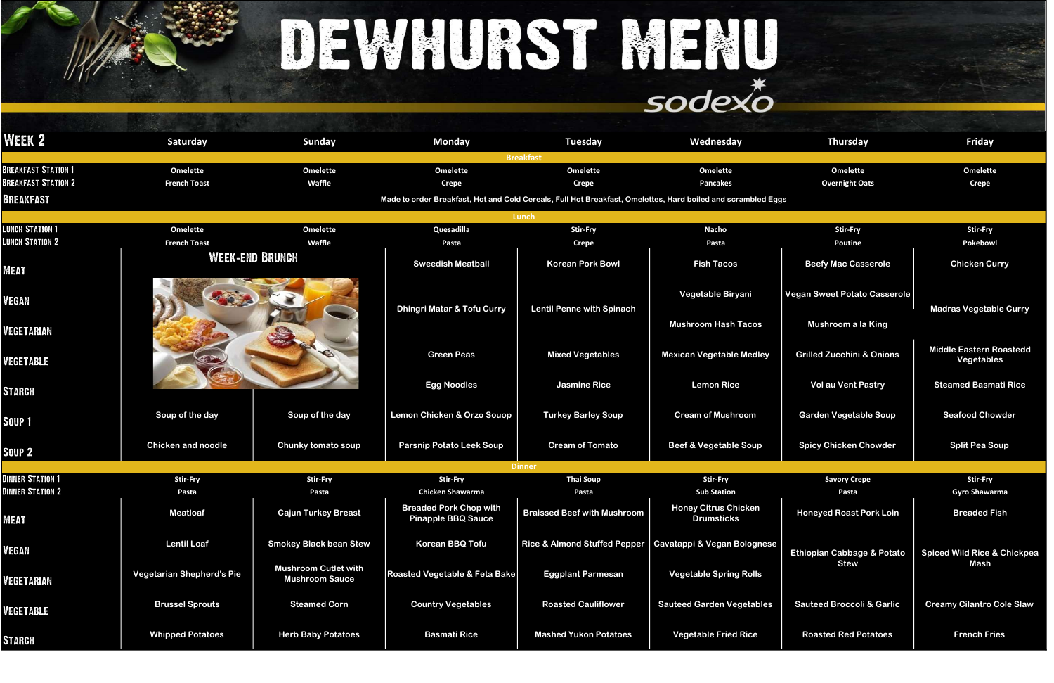Middle Eastern Roastedd Vegetables

Vol au Vent Pastry **Note An America Anders Vol au Vent Pastry No. 19 Steamed Basmati Rice** 

# DEWHURST MENU

| WEEK 2                     | Saturday                         | <b>Sunday</b>                                        | <b>Monday</b>                                                                                                | Tuesday                            | Wednesday                                                  | <b>Thursday</b>                       | <b>Friday</b>                            |
|----------------------------|----------------------------------|------------------------------------------------------|--------------------------------------------------------------------------------------------------------------|------------------------------------|------------------------------------------------------------|---------------------------------------|------------------------------------------|
|                            |                                  |                                                      |                                                                                                              | <b>Breakfast</b>                   |                                                            |                                       |                                          |
| <b>BREAKFAST STATION 1</b> | <b>Omelette</b>                  | <b>Omelette</b>                                      | <b>Omelette</b>                                                                                              | <b>Omelette</b>                    | <b>Omelette</b>                                            | <b>Omelette</b>                       | <b>Omelette</b>                          |
| <b>BREAKFAST STATION 2</b> | <b>French Toast</b>              | Waffle                                               | <b>Crepe</b>                                                                                                 | <b>Crepe</b>                       | <b>Pancakes</b>                                            | <b>Overnight Oats</b>                 | <b>Crepe</b>                             |
| BREAKFAST                  |                                  |                                                      | Made to order Breakfast, Hot and Cold Cereals, Full Hot Breakfast, Omelettes, Hard boiled and scrambled Eggs |                                    |                                                            |                                       |                                          |
|                            |                                  |                                                      |                                                                                                              | Lunch                              |                                                            |                                       |                                          |
| <b>LUNCH STATION 1</b>     | <b>Omelette</b>                  | <b>Omelette</b>                                      | Quesadilla                                                                                                   | <b>Stir-Fry</b>                    | <b>Nacho</b>                                               | <b>Stir-Fry</b>                       | <b>Stir-Fry</b>                          |
| <b>LUNCH STATION 2</b>     | <b>French Toast</b>              | Waffle                                               | Pasta                                                                                                        | <b>Crepe</b>                       | Pasta                                                      | <b>Poutine</b>                        | Pokebowl                                 |
| MEAT                       |                                  | WEEK-END BRUNCH                                      | <b>Sweedish Meatball</b>                                                                                     | <b>Korean Pork Bowl</b>            | <b>Fish Tacos</b>                                          | <b>Beefy Mac Casserole</b>            | <b>Chicken Curry</b>                     |
| VEGAN                      |                                  |                                                      | <b>Dhingri Matar &amp; Tofu Curry</b>                                                                        | <b>Lentil Penne with Spinach</b>   | Vegetable Biryani                                          | <b>Vegan Sweet Potato Casserole</b>   | <b>Madras Vegetable C</b>                |
| VEGETARIAN                 |                                  |                                                      |                                                                                                              |                                    | <b>Mushroom Hash Tacos</b>                                 | Mushroom a la King                    |                                          |
| VEGETABLE                  |                                  |                                                      | <b>Green Peas</b>                                                                                            | <b>Mixed Vegetables</b>            | <b>Mexican Vegetable Medley</b>                            | <b>Grilled Zucchini &amp; Onions</b>  | <b>Middle Eastern Roas</b><br>Vegetables |
| STARCH                     |                                  |                                                      | <b>Egg Noodles</b>                                                                                           | <b>Jasmine Rice</b>                | <b>Lemon Rice</b>                                          | <b>Vol au Vent Pastry</b>             | <b>Steamed Basmati F</b>                 |
| SOUP 1                     | Soup of the day                  | Soup of the day                                      | <b>Lemon Chicken &amp; Orzo Souop</b>                                                                        | <b>Turkey Barley Soup</b>          | <b>Cream of Mushroom</b>                                   | <b>Garden Vegetable Soup</b>          | <b>Seafood Chowde</b>                    |
| SOUP <sub>2</sub>          | <b>Chicken and noodle</b>        | Chunky tomato soup                                   | <b>Parsnip Potato Leek Soup</b>                                                                              | <b>Cream of Tomato</b>             | <b>Beef &amp; Vegetable Soup</b>                           | <b>Spicy Chicken Chowder</b>          | <b>Split Pea Soup</b>                    |
|                            |                                  |                                                      |                                                                                                              | <b>Dinner</b>                      |                                                            |                                       |                                          |
| <b>DINNER STATION 1</b>    | <b>Stir-Fry</b>                  | <b>Stir-Fry</b>                                      | <b>Stir-Fry</b>                                                                                              | <b>Thai Soup</b>                   | <b>Stir-Fry</b>                                            | <b>Savory Crepe</b>                   | <b>Stir-Fry</b>                          |
| <b>DINNER STATION 2</b>    | Pasta                            | Pasta                                                | <b>Chicken Shawarma</b>                                                                                      | Pasta                              | <b>Sub Station</b>                                         | Pasta                                 | <b>Gyro Shawarma</b>                     |
| MEAT                       | <b>Meatloaf</b>                  | <b>Cajun Turkey Breast</b>                           | <b>Breaded Pork Chop with</b><br><b>Pinapple BBQ Sauce</b>                                                   | <b>Braissed Beef with Mushroom</b> | <b>Honey Citrus Chicken</b><br><b>Drumsticks</b>           | <b>Honeyed Roast Pork Loin</b>        | <b>Breaded Fish</b>                      |
| VEGAN                      | <b>Lentil Loaf</b>               | <b>Smokey Black bean Stew</b>                        | <b>Korean BBQ Tofu</b>                                                                                       |                                    | Rice & Almond Stuffed Pepper   Cavatappi & Vegan Bolognese | <b>Ethiopian Cabbage &amp; Potato</b> | <b>Spiced Wild Rice &amp; Ch</b>         |
| VEGETARIAN                 | <b>Vegetarian Shepherd's Pie</b> | <b>Mushroom Cutlet with</b><br><b>Mushroom Sauce</b> | Roasted Vegetable & Feta Bake                                                                                | <b>Eggplant Parmesan</b>           | <b>Vegetable Spring Rolls</b>                              | <b>Stew</b>                           | Mash                                     |
| <b>VEGETABLE</b>           | <b>Brussel Sprouts</b>           | <b>Steamed Corn</b>                                  | <b>Country Vegetables</b>                                                                                    | <b>Roasted Cauliflower</b>         | <b>Sauteed Garden Vegetables</b>                           | <b>Sauteed Broccoli &amp; Garlic</b>  | <b>Creamy Cilantro Cole</b>              |
| STARCH                     | <b>Whipped Potatoes</b>          | <b>Herb Baby Potatoes</b>                            | <b>Basmati Rice</b>                                                                                          | <b>Mashed Yukon Potatoes</b>       | <b>Vegetable Fried Rice</b>                                | <b>Roasted Red Potatoes</b>           | <b>French Fries</b>                      |

### **Madras Vegetable Curry**

Spiced Wild Rice & Chickpea Mash

Sauteed Broccoli & Garlic | Creamy Cilantro Cole Slaw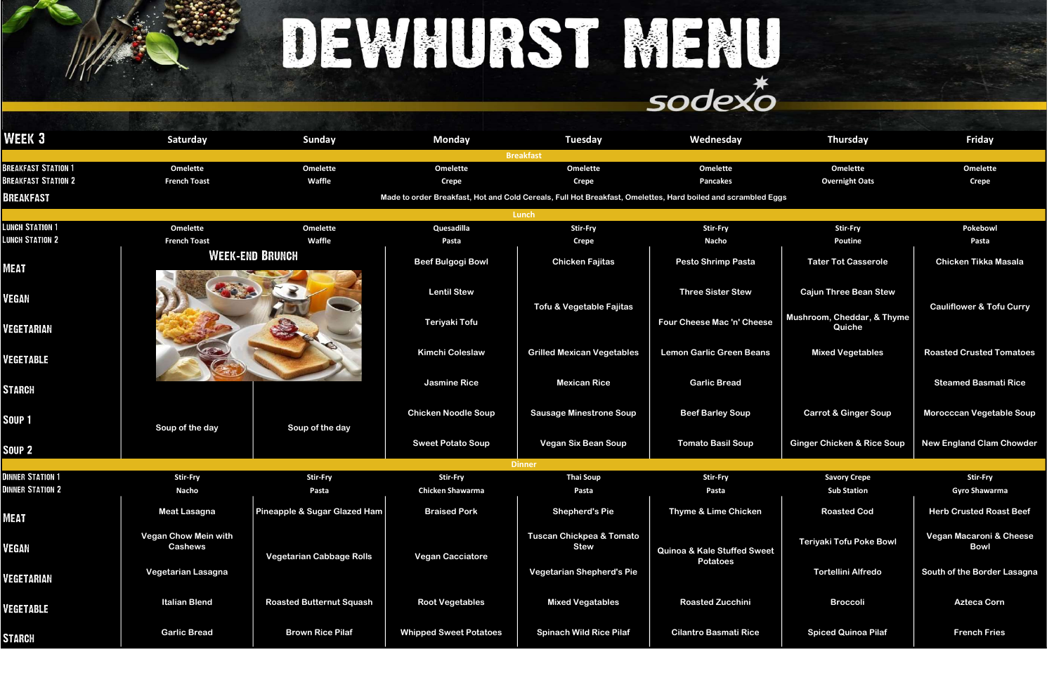# DEWHURST MENU

### sodexo

| WEEK 3                     | Saturday                                      | <b>Sunday</b>                           | <b>Monday</b>                              | <b>Tuesday</b>                                                                                               | Wednesday                              | <b>Thursday</b>                           | <b>Friday</b>                           |
|----------------------------|-----------------------------------------------|-----------------------------------------|--------------------------------------------|--------------------------------------------------------------------------------------------------------------|----------------------------------------|-------------------------------------------|-----------------------------------------|
|                            |                                               |                                         |                                            | <b>Breakfast</b>                                                                                             |                                        |                                           |                                         |
| <b>BREAKFAST STATION 1</b> | <b>Omelette</b>                               | <b>Omelette</b>                         | <b>Omelette</b>                            | <b>Omelette</b>                                                                                              | <b>Omelette</b>                        | <b>Omelette</b>                           | <b>Omelette</b>                         |
| <b>BREAKFAST STATION 2</b> | <b>French Toast</b>                           | Waffle                                  | <b>Crepe</b>                               | <b>Crepe</b>                                                                                                 | <b>Pancakes</b>                        | <b>Overnight Oats</b>                     | <b>Crepe</b>                            |
| BREAKFAST                  |                                               |                                         |                                            | Made to order Breakfast, Hot and Cold Cereals, Full Hot Breakfast, Omelettes, Hard boiled and scrambled Eggs |                                        |                                           |                                         |
|                            |                                               |                                         |                                            | Lunch                                                                                                        |                                        |                                           |                                         |
| <b>LUNCH STATION 1</b>     | <b>Omelette</b>                               | <b>Omelette</b>                         | Quesadilla                                 | <b>Stir-Fry</b>                                                                                              | <b>Stir-Fry</b>                        | <b>Stir-Fry</b>                           | Pokebowl                                |
| <b>LUNCH STATION 2</b>     | <b>French Toast</b>                           | Waffle                                  | Pasta                                      | <b>Crepe</b>                                                                                                 | <b>Nacho</b>                           | <b>Poutine</b>                            | Pasta                                   |
| <b>MEAT</b>                |                                               | <b>WEEK-END BRUNCH</b>                  | <b>Beef Bulgogi Bowl</b>                   | <b>Chicken Fajitas</b>                                                                                       | <b>Pesto Shrimp Pasta</b>              | <b>Tater Tot Casserole</b>                | <b>Chicken Tikka Masala</b>             |
| /EGAN                      |                                               |                                         | <b>Lentil Stew</b>                         |                                                                                                              | <b>Three Sister Stew</b>               | <b>Cajun Three Bean Stew</b>              |                                         |
| <b>/EGETARIAN</b>          |                                               |                                         | <b>Teriyaki Tofu</b>                       | Tofu & Vegetable Fajitas                                                                                     | Four Cheese Mac 'n' Cheese             | Mushroom, Cheddar, & Thyme<br>Quiche      | <b>Cauliflower &amp; Tofu Curry</b>     |
| VEGETABLE                  |                                               |                                         | <b>Kimchi Coleslaw</b>                     | <b>Grilled Mexican Vegetables</b>                                                                            | <b>Lemon Garlic Green Beans</b>        | <b>Mixed Vegetables</b>                   | <b>Roasted Crusted Tomatoe</b>          |
| STARCH                     |                                               |                                         | <b>Jasmine Rice</b>                        | <b>Mexican Rice</b>                                                                                          | <b>Garlic Bread</b>                    |                                           | <b>Steamed Basmati Rice</b>             |
| Soup 1                     | Soup of the day                               | Soup of the day                         | <b>Chicken Noodle Soup</b>                 | <b>Sausage Minestrone Soup</b>                                                                               | <b>Beef Barley Soup</b>                | <b>Carrot &amp; Ginger Soup</b>           | <b>Morocccan Vegetable Sou</b>          |
| <b>SOUP 2</b>              |                                               |                                         | <b>Sweet Potato Soup</b>                   | <b>Vegan Six Bean Soup</b>                                                                                   | <b>Tomato Basil Soup</b>               | <b>Ginger Chicken &amp; Rice Soup</b>     | <b>New England Clam Chowde</b>          |
| <b>DINNER STATION 1</b>    |                                               |                                         |                                            | <b>Dinner</b>                                                                                                |                                        |                                           |                                         |
| <b>DINNER STATION 2</b>    | <b>Stir-Fry</b><br><b>Nacho</b>               | <b>Stir-Fry</b><br>Pasta                | <b>Stir-Fry</b><br><b>Chicken Shawarma</b> | <b>Thai Soup</b><br>Pasta                                                                                    | <b>Stir-Fry</b><br>Pasta               | <b>Savory Crepe</b><br><b>Sub Station</b> | <b>Stir-Fry</b><br><b>Gyro Shawarma</b> |
| MEAT                       | <b>Meat Lasagna</b>                           | <b>Pineapple &amp; Sugar Glazed Ham</b> | <b>Braised Pork</b>                        | <b>Shepherd's Pie</b>                                                                                        | Thyme & Lime Chicken                   | <b>Roasted Cod</b>                        | <b>Herb Crusted Roast Beet</b>          |
| VEGAN                      | <b>Vegan Chow Mein with</b><br><b>Cashews</b> | <b>Vegetarian Cabbage Rolls</b>         | <b>Vegan Cacciatore</b>                    | <b>Tuscan Chickpea &amp; Tomato</b><br><b>Stew</b>                                                           | <b>Quinoa &amp; Kale Stuffed Sweet</b> | <b>Teriyaki Tofu Poke Bowl</b>            | Vegan Macaroni & Chees<br><b>Bowl</b>   |
| VEGETARIAN                 | Vegetarian Lasagna                            |                                         |                                            | <b>Vegetarian Shepherd's Pie</b>                                                                             | <b>Potatoes</b>                        | <b>Tortellini Alfredo</b>                 | South of the Border Lasagr              |
| VEGETABLE                  | <b>Italian Blend</b>                          | <b>Roasted Butternut Squash</b>         | <b>Root Vegetables</b>                     | <b>Mixed Vegatables</b>                                                                                      | <b>Roasted Zucchini</b>                | <b>Broccoli</b>                           | <b>Azteca Corn</b>                      |
| <b>STARCH</b>              | <b>Garlic Bread</b>                           | <b>Brown Rice Pilaf</b>                 | <b>Whipped Sweet Potatoes</b>              | <b>Spinach Wild Rice Pilaf</b>                                                                               | <b>Cilantro Basmati Rice</b>           | <b>Spiced Quinoa Pilaf</b>                | <b>French Fries</b>                     |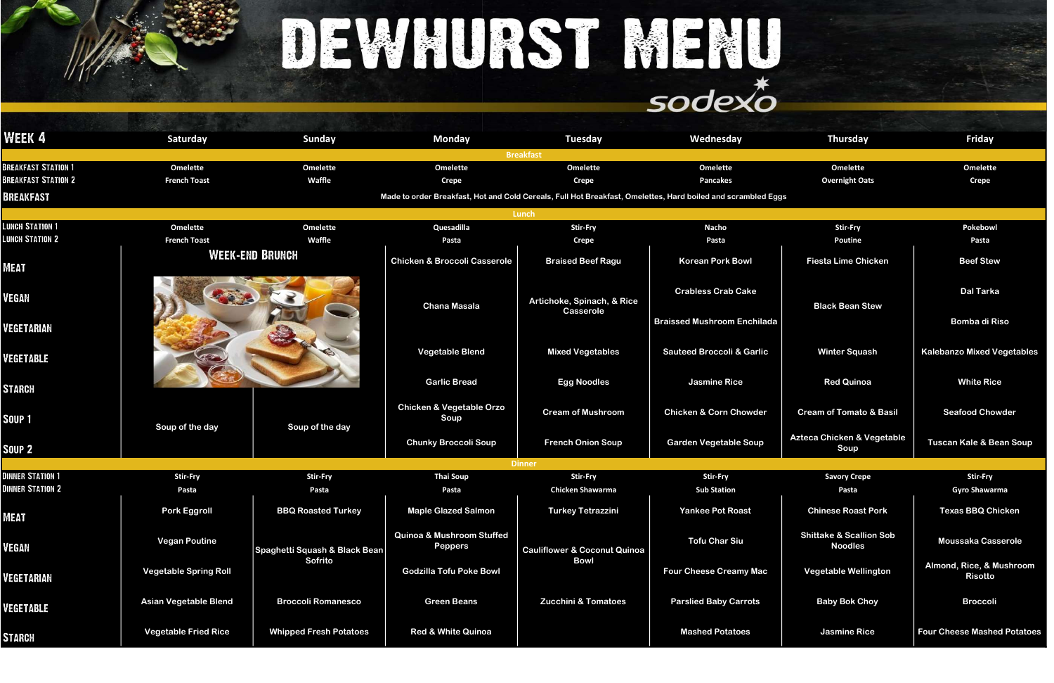|                                                                              |                                        |                                  |                                                        | DEWALIRST MENL                                                                                                                                  | sodexo                                                          |                                                      |                                            |
|------------------------------------------------------------------------------|----------------------------------------|----------------------------------|--------------------------------------------------------|-------------------------------------------------------------------------------------------------------------------------------------------------|-----------------------------------------------------------------|------------------------------------------------------|--------------------------------------------|
| <b>WEEK 4</b>                                                                | <b>Saturday</b>                        | <b>Sunday</b>                    | <b>Monday</b>                                          | Tuesday<br><b>Breakfast</b>                                                                                                                     | Wednesday                                                       | Thursday                                             | <b>Friday</b>                              |
| <b>BREAKFAST STATION 1</b><br><b>BREAKFAST STATION 2</b><br><b>BREAKFAST</b> | <b>Omelette</b><br><b>French Toast</b> | <b>Omelette</b><br><b>Waffle</b> | <b>Omelette</b><br><b>Crepe</b>                        | <b>Omelette</b><br><b>Crepe</b><br>Made to order Breakfast, Hot and Cold Cereals, Full Hot Breakfast, Omelettes, Hard boiled and scrambled Eggs | <b>Omelette</b><br><b>Pancakes</b>                              | <b>Omelette</b><br><b>Overnight Oats</b>             | <b>Omelette</b><br><b>Crepe</b>            |
| <b>LUNCH STATION 1</b><br><b>LUNCH STATION 2</b>                             | <b>Omelette</b><br><b>French Toast</b> | <b>Omelette</b><br>Waffle        | Quesadilla<br>Pasta                                    | Lunch<br><b>Stir-Fry</b><br><b>Crepe</b>                                                                                                        | <b>Nacho</b><br>Pasta                                           | <b>Stir-Fry</b><br><b>Poutine</b>                    | Pokebowl<br>Pasta                          |
| <b>MEAT</b>                                                                  |                                        | <b>WEEK-END BRUNCH</b>           | <b>Chicken &amp; Broccoli Casserole</b>                | <b>Braised Beef Ragu</b>                                                                                                                        | <b>Korean Pork Bowl</b>                                         | <b>Fiesta Lime Chicken</b>                           | <b>Beef Stew</b>                           |
| <b>VEGAN</b><br><b>VEGETARIAN</b>                                            |                                        |                                  | <b>Chana Masala</b>                                    | Artichoke, Spinach, & Rice<br>Casserole                                                                                                         | <b>Crabless Crab Cake</b><br><b>Braissed Mushroom Enchilada</b> | <b>Black Bean Stew</b>                               | <b>Dal Tarka</b><br><b>Bomba di Riso</b>   |
| <b>VEGETABLE</b>                                                             |                                        |                                  | <b>Vegetable Blend</b>                                 | <b>Mixed Vegetables</b>                                                                                                                         | <b>Sauteed Broccoli &amp; Garlic</b>                            | <b>Winter Squash</b>                                 | <b>Kalebanzo Mixed Vegetables</b>          |
| <b>STARCH</b>                                                                |                                        |                                  | <b>Garlic Bread</b>                                    | <b>Egg Noodles</b>                                                                                                                              | <b>Jasmine Rice</b>                                             | <b>Red Quinoa</b>                                    | <b>White Rice</b>                          |
| SOUP <sub>1</sub>                                                            | Soup of the day                        | Soup of the day                  | <b>Chicken &amp; Vegetable Orzo</b><br>Soup            | <b>Cream of Mushroom</b>                                                                                                                        | <b>Chicken &amp; Corn Chowder</b>                               | <b>Cream of Tomato &amp; Basil</b>                   | <b>Seafood Chowder</b>                     |
| SOUP <sub>2</sub>                                                            |                                        |                                  | <b>Chunky Broccoli Soup</b>                            | <b>French Onion Soup</b>                                                                                                                        | <b>Garden Vegetable Soup</b>                                    | Azteca Chicken & Vegetable<br>Soup                   | <b>Tuscan Kale &amp; Bean Soup</b>         |
|                                                                              |                                        |                                  |                                                        | <b>Dinner</b>                                                                                                                                   |                                                                 |                                                      |                                            |
| <b>DINNER STATION 1</b><br><b>DINNER STATION 2</b>                           | <b>Stir-Fry</b><br>Pasta               | <b>Stir-Fry</b><br>Pasta         | <b>Thai Soup</b><br>Pasta                              | <b>Stir-Fry</b><br><b>Chicken Shawarma</b>                                                                                                      | <b>Stir-Fry</b><br><b>Sub Station</b>                           | <b>Savory Crepe</b><br>Pasta                         | <b>Stir-Fry</b><br><b>Gyro Shawarma</b>    |
| <b>MEAT</b>                                                                  | <b>Pork Eggroll</b>                    | <b>BBQ Roasted Turkey</b>        | <b>Maple Glazed Salmon</b>                             | <b>Turkey Tetrazzini</b>                                                                                                                        | <b>Yankee Pot Roast</b>                                         | <b>Chinese Roast Pork</b>                            | <b>Texas BBQ Chicken</b>                   |
| <b>VEGAN</b>                                                                 | <b>Vegan Poutine</b>                   | Spaghetti Squash & Black Bean    | <b>Quinoa &amp; Mushroom Stuffed</b><br><b>Peppers</b> | <b>Cauliflower &amp; Coconut Quinoa</b>                                                                                                         | <b>Tofu Char Siu</b>                                            | <b>Shittake &amp; Scallion Sob</b><br><b>Noodles</b> | <b>Moussaka Casserole</b>                  |
| <b>VEGETARIAN</b>                                                            | <b>Vegetable Spring Roll</b>           | Sofrito                          | <b>Godzilla Tofu Poke Bowl</b>                         | <b>Bowl</b>                                                                                                                                     | <b>Four Cheese Creamy Mac</b>                                   | <b>Vegetable Wellington</b>                          | Almond, Rice, & Mushroom<br><b>Risotto</b> |
| <b>VEGETABLE</b>                                                             | <b>Asian Vegetable Blend</b>           | <b>Broccoli Romanesco</b>        | <b>Green Beans</b>                                     | <b>Zucchini &amp; Tomatoes</b>                                                                                                                  | <b>Parslied Baby Carrots</b>                                    | <b>Baby Bok Choy</b>                                 | <b>Broccoli</b>                            |
| STARCH                                                                       | <b>Vegetable Fried Rice</b>            | <b>Whipped Fresh Potatoes</b>    | <b>Red &amp; White Quinoa</b>                          |                                                                                                                                                 | <b>Mashed Potatoes</b>                                          | <b>Jasmine Rice</b>                                  | <b>Four Cheese Mashed Potatoes</b>         |